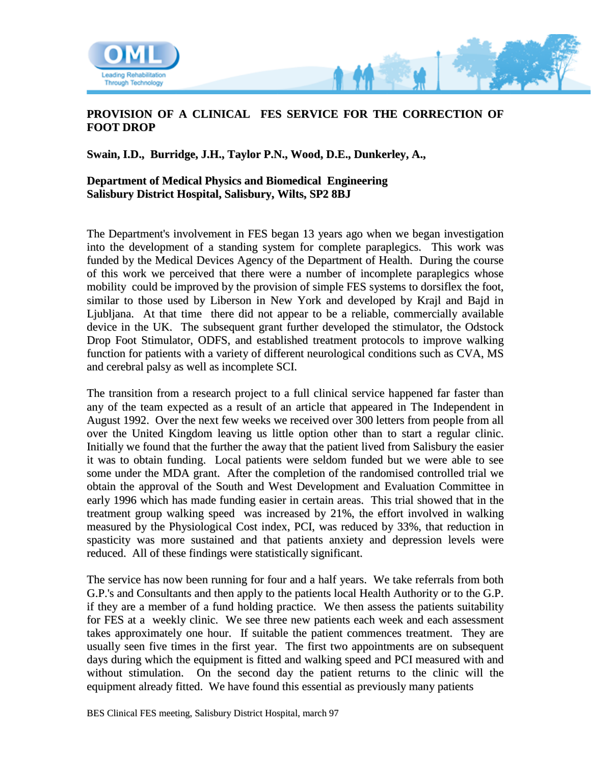

## **PROVISION OF A CLINICAL FES SERVICE FOR THE CORRECTION OF FOOT DROP**

**Swain, I.D., Burridge, J.H., Taylor P.N., Wood, D.E., Dunkerley, A.,**

## **Department of Medical Physics and Biomedical Engineering Salisbury District Hospital, Salisbury, Wilts, SP2 8BJ**

The Department's involvement in FES began 13 years ago when we began investigation into the development of a standing system for complete paraplegics. This work was funded by the Medical Devices Agency of the Department of Health. During the course of this work we perceived that there were a number of incomplete paraplegics whose mobility could be improved by the provision of simple FES systems to dorsiflex the foot, similar to those used by Liberson in New York and developed by Krajl and Bajd in Ljubljana. At that time there did not appear to be a reliable, commercially available device in the UK. The subsequent grant further developed the stimulator, the Odstock Drop Foot Stimulator, ODFS, and established treatment protocols to improve walking function for patients with a variety of different neurological conditions such as CVA, MS and cerebral palsy as well as incomplete SCI.

The transition from a research project to a full clinical service happened far faster than any of the team expected as a result of an article that appeared in The Independent in August 1992. Over the next few weeks we received over 300 letters from people from all over the United Kingdom leaving us little option other than to start a regular clinic. Initially we found that the further the away that the patient lived from Salisbury the easier it was to obtain funding. Local patients were seldom funded but we were able to see some under the MDA grant. After the completion of the randomised controlled trial we obtain the approval of the South and West Development and Evaluation Committee in early 1996 which has made funding easier in certain areas. This trial showed that in the treatment group walking speed was increased by 21%, the effort involved in walking measured by the Physiological Cost index, PCI, was reduced by 33%, that reduction in spasticity was more sustained and that patients anxiety and depression levels were reduced. All of these findings were statistically significant.

The service has now been running for four and a half years. We take referrals from both G.P.'s and Consultants and then apply to the patients local Health Authority or to the G.P. if they are a member of a fund holding practice. We then assess the patients suitability for FES at a weekly clinic. We see three new patients each week and each assessment takes approximately one hour. If suitable the patient commences treatment. They are usually seen five times in the first year. The first two appointments are on subsequent days during which the equipment is fitted and walking speed and PCI measured with and without stimulation. On the second day the patient returns to the clinic will the equipment already fitted. We have found this essential as previously many patients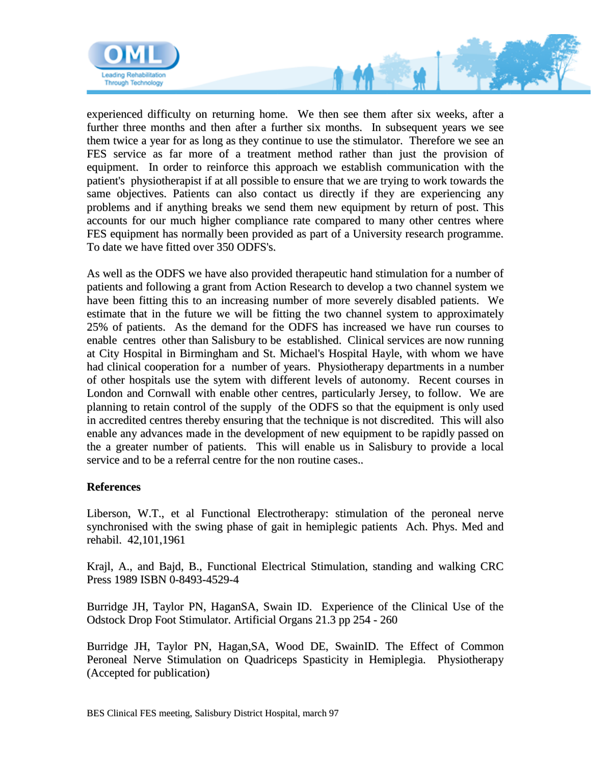

experienced difficulty on returning home. We then see them after six weeks, after a further three months and then after a further six months. In subsequent years we see them twice a year for as long as they continue to use the stimulator. Therefore we see an FES service as far more of a treatment method rather than just the provision of equipment. In order to reinforce this approach we establish communication with the patient's physiotherapist if at all possible to ensure that we are trying to work towards the same objectives. Patients can also contact us directly if they are experiencing any problems and if anything breaks we send them new equipment by return of post. This accounts for our much higher compliance rate compared to many other centres where FES equipment has normally been provided as part of a University research programme. To date we have fitted over 350 ODFS's.

As well as the ODFS we have also provided therapeutic hand stimulation for a number of patients and following a grant from Action Research to develop a two channel system we have been fitting this to an increasing number of more severely disabled patients. We estimate that in the future we will be fitting the two channel system to approximately 25% of patients. As the demand for the ODFS has increased we have run courses to enable centres other than Salisbury to be established. Clinical services are now running at City Hospital in Birmingham and St. Michael's Hospital Hayle, with whom we have had clinical cooperation for a number of years. Physiotherapy departments in a number of other hospitals use the sytem with different levels of autonomy. Recent courses in London and Cornwall with enable other centres, particularly Jersey, to follow. We are planning to retain control of the supply of the ODFS so that the equipment is only used in accredited centres thereby ensuring that the technique is not discredited. This will also enable any advances made in the development of new equipment to be rapidly passed on the a greater number of patients. This will enable us in Salisbury to provide a local service and to be a referral centre for the non routine cases..

## **References**

Liberson, W.T., et al Functional Electrotherapy: stimulation of the peroneal nerve synchronised with the swing phase of gait in hemiplegic patients Ach. Phys. Med and rehabil. 42,101,1961

Krajl, A., and Bajd, B., Functional Electrical Stimulation, standing and walking CRC Press 1989 ISBN 0-8493-4529-4

Burridge JH, Taylor PN, HaganSA, Swain ID. Experience of the Clinical Use of the Odstock Drop Foot Stimulator. Artificial Organs 21.3 pp 254 - 260

Burridge JH, Taylor PN, Hagan,SA, Wood DE, SwainID. The Effect of Common Peroneal Nerve Stimulation on Quadriceps Spasticity in Hemiplegia. Physiotherapy (Accepted for publication)